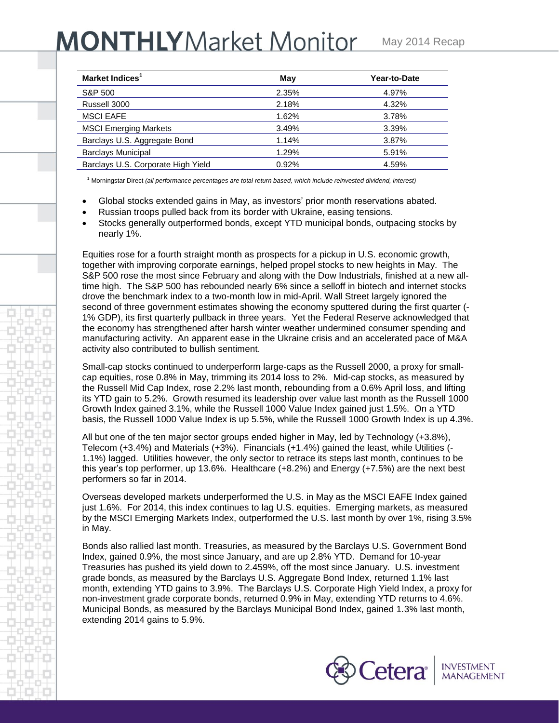## **MONTHLY** Market Monitor

| Market Indices <sup>1</sup>        | May   | Year-to-Date |
|------------------------------------|-------|--------------|
| S&P 500                            | 2.35% | 4.97%        |
| Russell 3000                       | 2.18% | 4.32%        |
| <b>MSCI EAFE</b>                   | 1.62% | 3.78%        |
| <b>MSCI Emerging Markets</b>       | 3.49% | 3.39%        |
| Barclays U.S. Aggregate Bond       | 1.14% | 3.87%        |
| <b>Barclays Municipal</b>          | 1.29% | 5.91%        |
| Barclays U.S. Corporate High Yield | 0.92% | 4.59%        |

<sup>1</sup> Morningstar Direct *(all performance percentages are total return based, which include reinvested dividend, interest)*

- Global stocks extended gains in May, as investors' prior month reservations abated.
- Russian troops pulled back from its border with Ukraine, easing tensions.
- Stocks generally outperformed bonds, except YTD municipal bonds, outpacing stocks by nearly 1%.

Equities rose for a fourth straight month as prospects for a pickup in U.S. economic growth, together with improving corporate earnings, helped propel stocks to new heights in May. The S&P 500 rose the most since February and along with the Dow Industrials, finished at a new alltime high. The S&P 500 has rebounded nearly 6% since a selloff in biotech and internet stocks drove the benchmark index to a two-month low in mid-April. Wall Street largely ignored the second of three government estimates showing the economy sputtered during the first quarter (- 1% GDP), its first quarterly pullback in three years. Yet the Federal Reserve acknowledged that the economy has strengthened after harsh winter weather undermined consumer spending and manufacturing activity. An apparent ease in the Ukraine crisis and an accelerated pace of M&A activity also contributed to bullish sentiment.

Small-cap stocks continued to underperform large-caps as the Russell 2000, a proxy for smallcap equities, rose 0.8% in May, trimming its 2014 loss to 2%. Mid-cap stocks, as measured by the Russell Mid Cap Index, rose 2.2% last month, rebounding from a 0.6% April loss, and lifting its YTD gain to 5.2%. Growth resumed its leadership over value last month as the Russell 1000 Growth Index gained 3.1%, while the Russell 1000 Value Index gained just 1.5%. On a YTD basis, the Russell 1000 Value Index is up 5.5%, while the Russell 1000 Growth Index is up 4.3%.

All but one of the ten major sector groups ended higher in May, led by Technology (+3.8%), Telecom (+3.4%) and Materials (+3%). Financials (+1.4%) gained the least, while Utilities (- 1.1%) lagged. Utilities however, the only sector to retrace its steps last month, continues to be this year's top performer, up 13.6%. Healthcare (+8.2%) and Energy (+7.5%) are the next best performers so far in 2014.

Overseas developed markets underperformed the U.S. in May as the MSCI EAFE Index gained just 1.6%. For 2014, this index continues to lag U.S. equities. Emerging markets, as measured by the MSCI Emerging Markets Index, outperformed the U.S. last month by over 1%, rising 3.5% in May.

Bonds also rallied last month. Treasuries, as measured by the Barclays U.S. Government Bond Index, gained 0.9%, the most since January, and are up 2.8% YTD. Demand for 10-year Treasuries has pushed its yield down to 2.459%, off the most since January. U.S. investment grade bonds, as measured by the Barclays U.S. Aggregate Bond Index, returned 1.1% last month, extending YTD gains to 3.9%. The Barclays U.S. Corporate High Yield Index, a proxy for non-investment grade corporate bonds, returned 0.9% in May, extending YTD returns to 4.6%. Municipal Bonds, as measured by the Barclays Municipal Bond Index, gained 1.3% last month, extending 2014 gains to 5.9%.